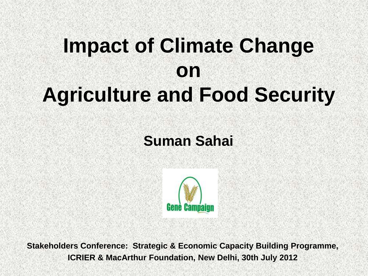# **Impact of Climate Change on Agriculture and Food Security**

#### **Suman Sahai**



**Stakeholders Conference: Strategic & Economic Capacity Building Programme, ICRIER & MacArthur Foundation, New Delhi, 30th July 2012**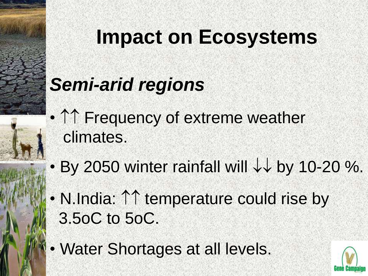# **Impact on Ecosystems**

## *Semi-arid regions*

- $\uparrow\uparrow$  Frequency of extreme weather climates.
- By 2050 winter rainfall will  $\downarrow\downarrow$  by 10-20 %.
- N.India:  $\uparrow\uparrow$  temperature could rise by 3.5oC to 5oC.
- Water Shortages at all levels.

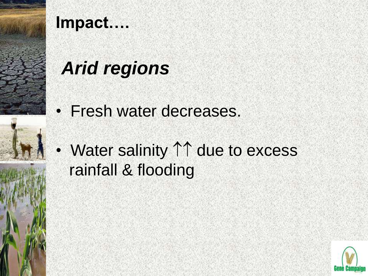

## *Arid regions*

- •Fresh water decreases.
- Water salinity  $\uparrow\uparrow$  due to excess rainfall & flooding

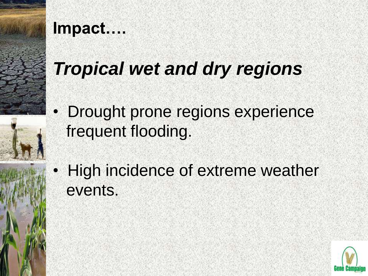

## *Tropical wet and dry regions*

- Drought prone regions experience frequent flooding.
- High incidence of extreme weather events.

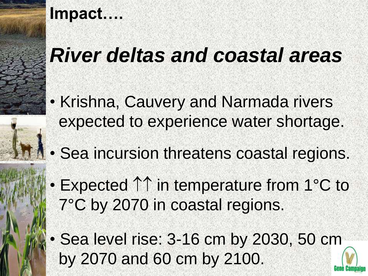## *River deltas and coastal areas*

- Krishna, Cauvery and Narmada rivers expected to experience water shortage.
- Sea incursion threatens coastal regions.
- Expected  $\uparrow\uparrow$  in temperature from 1°C to 7°C by 2070 in coastal regions.
- Sea level rise: 3-16 cm by 2030, 50 cm by 2070 and 60 cm by 2100.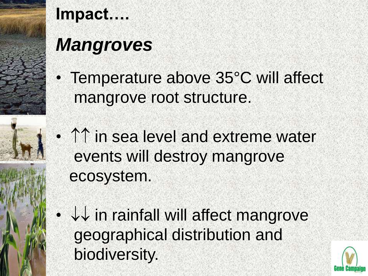

## *Mangroves*

- Temperature above 35°C will affect mangrove root structure.
- $\cdot$   $\uparrow\uparrow$  in sea level and extreme water events will destroy mangrove ecosystem.
	- $\cdot$   $\downarrow\downarrow$  in rainfall will affect mangrove geographical distribution and biodiversity.

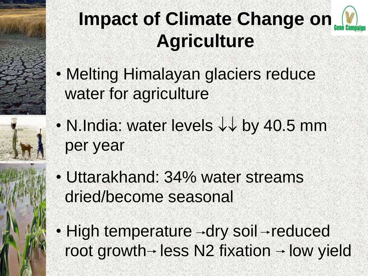## **Impact of Climate Change on Agriculture**

- Melting Himalayan glaciers reduce water for agriculture
- N.India: water levels  $\downarrow\downarrow$  by 40.5 mm per year
- Uttarakhand: 34% water streams dried/become seasonal
- $\cdot$  High temperature  $\rightarrow$ dry soil  $\rightarrow$  reduced root growth  $\rightarrow$  less N2 fixation  $\rightarrow$  low yield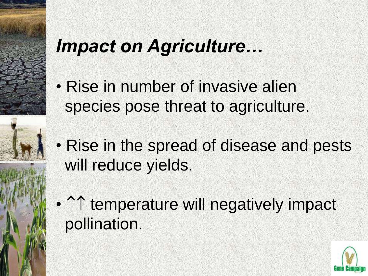## *Impact on Agriculture…*

- Rise in number of invasive alien species pose threat to agriculture.
- Rise in the spread of disease and pests will reduce yields.
- $\cdot$   $\uparrow$   $\uparrow$  temperature will negatively impact pollination.

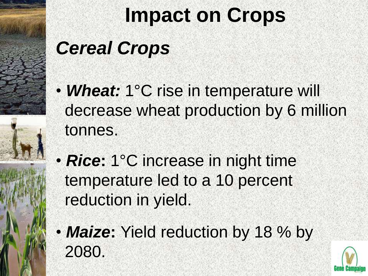# **Impact on Crops**

## *Cereal Crops*

- *Wheat:* 1°C rise in temperature will decrease wheat production by 6 million tonnes.
- *Rice***:** 1°C increase in night time temperature led to a 10 percent reduction in yield.
- **Maize:** Yield reduction by 18 % by 2080.

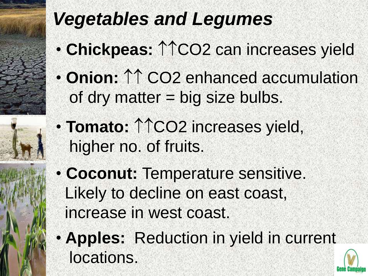## *Vegetables and Legumes*

- **Chickpeas: 11CO<sub>2</sub> can increases yield**
- Onion:  $\uparrow \uparrow$  CO2 enhanced accumulation of dry matter = big size bulbs.
- Tomato:  $\uparrow \uparrow$ CO2 increases yield, higher no. of fruits.
- **Coconut:** Temperature sensitive. Likely to decline on east coast, increase in west coast.
- **Apples:** Reduction in yield in current locations.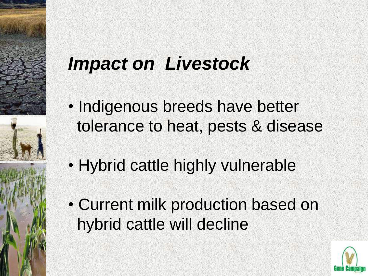## *Impact on Livestock*

- Indigenous breeds have better tolerance to heat, pests & disease
- Hybrid cattle highly vulnerable
- Current milk production based on hybrid cattle will decline

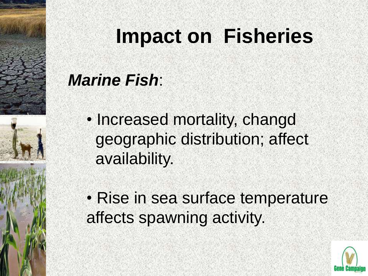# **Impact on Fisheries**

### *Marine Fish*:

- Increased mortality, changd geographic distribution; affect availability.
- Rise in sea surface temperature affects spawning activity.

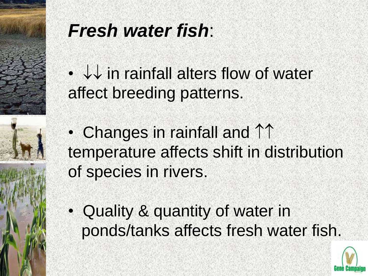

## *Fresh water fish*:

 $\cdot$   $\downarrow\downarrow$  in rainfall alters flow of water affect breeding patterns.

• Changes in rainfall and  $\uparrow\uparrow$ temperature affects shift in distribution of species in rivers.

• Quality & quantity of water in ponds/tanks affects fresh water fish.

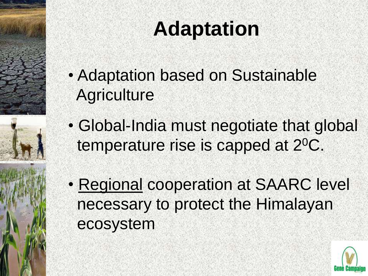# **Adaptation**

- Adaptation based on Sustainable **Agriculture**
- Global-India must negotiate that global temperature rise is capped at 2<sup>0</sup>C.
- Regional cooperation at SAARC level necessary to protect the Himalayan ecosystem

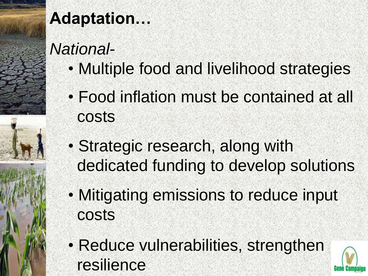

### **Adaptation…**

### *National-*

- Multiple food and livelihood strategies
- Food inflation must be contained at all costs
- Strategic research, along with dedicated funding to develop solutions
- Mitigating emissions to reduce input costs
- Reduce vulnerabilities, strengthen resilience

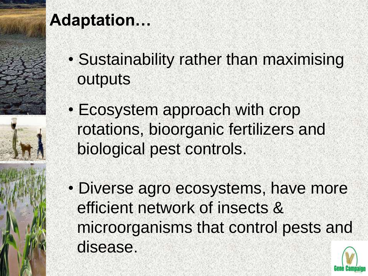

### **Adaptation…**

- Sustainability rather than maximising outputs
- Ecosystem approach with crop rotations, bioorganic fertilizers and biological pest controls.
- Diverse agro ecosystems, have more efficient network of insects & microorganisms that control pests and disease.